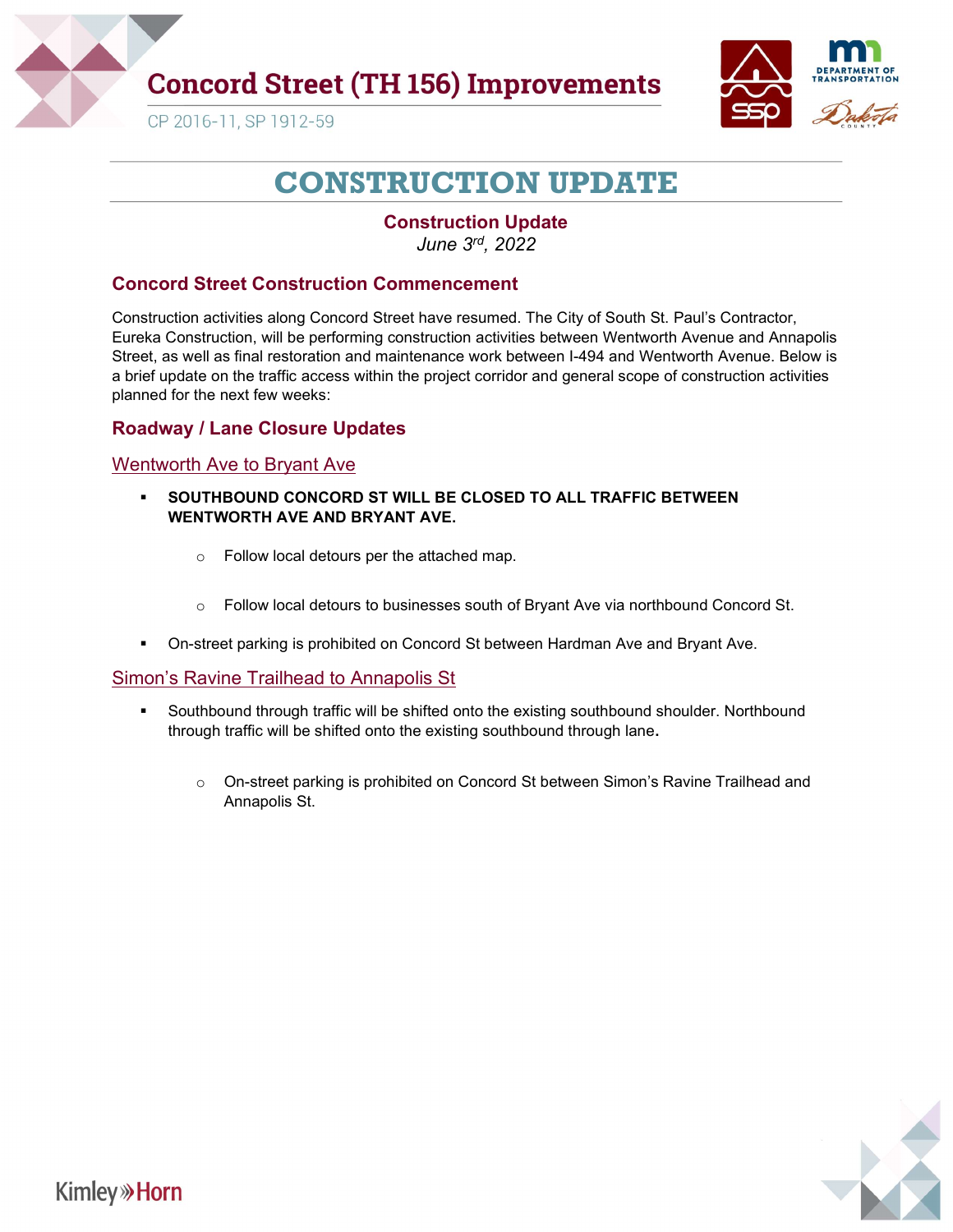

# **Concord Street (TH 156) Improvements**



CP 2016-11, SP 1912-59

# CONSTRUCTION UPDATE

#### Construction Update June 3rd, 2022

#### Concord Street Construction Commencement

Construction activities along Concord Street have resumed. The City of South St. Paul's Contractor, Eureka Construction, will be performing construction activities between Wentworth Avenue and Annapolis Street, as well as final restoration and maintenance work between I-494 and Wentworth Avenue. Below is a brief update on the traffic access within the project corridor and general scope of construction activities planned for the next few weeks:

#### Roadway / Lane Closure Updates

#### Wentworth Ave to Bryant Ave

- SOUTHBOUND CONCORD ST WILL BE CLOSED TO ALL TRAFFIC BETWEEN WENTWORTH AVE AND BRYANT AVE.
	- o Follow local detours per the attached map.
	- $\circ$  Follow local detours to businesses south of Bryant Ave via northbound Concord St.
- On-street parking is prohibited on Concord St between Hardman Ave and Bryant Ave.

#### Simon's Ravine Trailhead to Annapolis St

- Southbound through traffic will be shifted onto the existing southbound shoulder. Northbound through traffic will be shifted onto the existing southbound through lane.
	- $\circ$  On-street parking is prohibited on Concord St between Simon's Ravine Trailhead and Annapolis St.

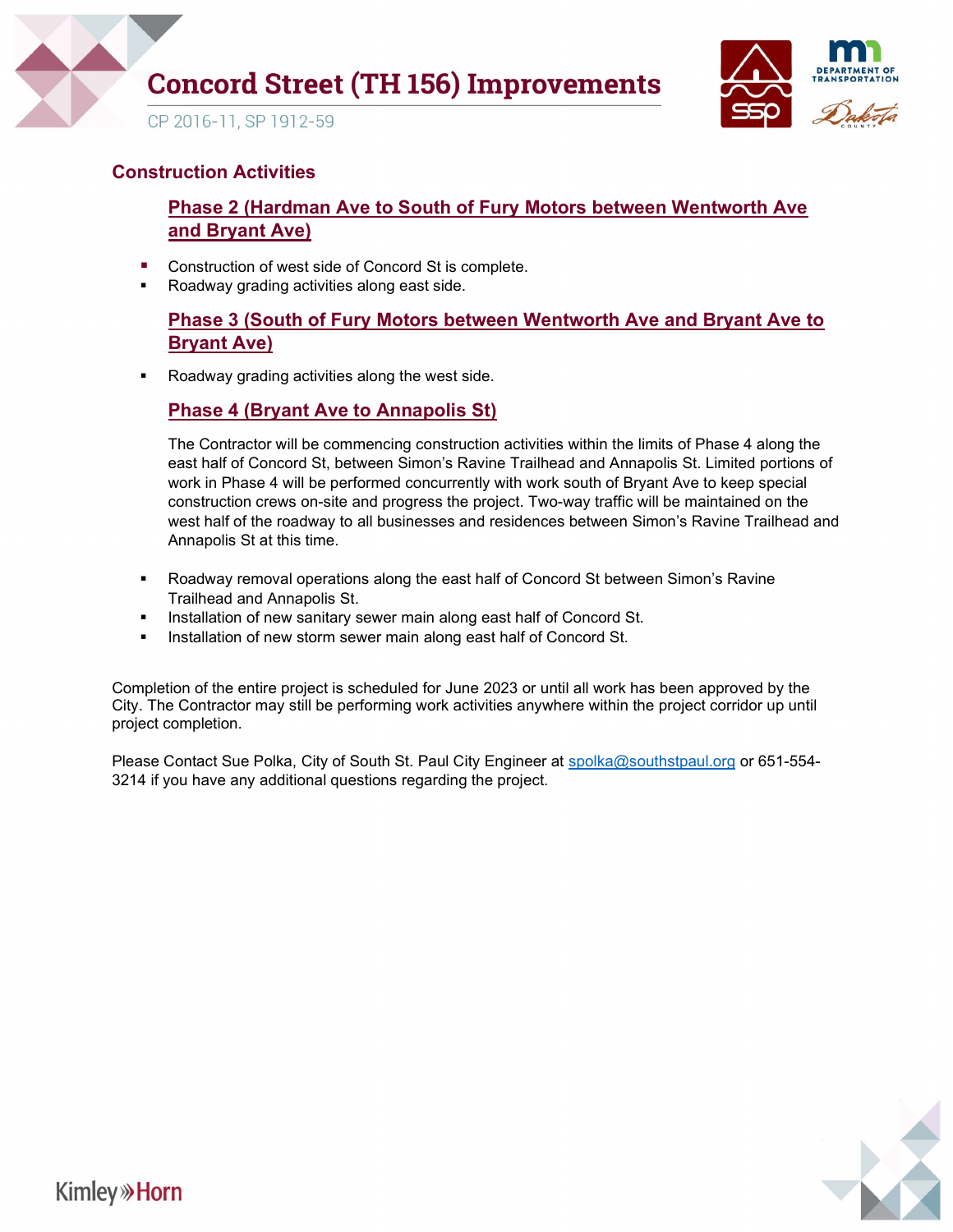



#### Construction Activities

## Phase 2 (Hardman Ave to South of Fury Motors between Wentworth Ave and Bryant Ave)

- Construction of west side of Concord St is complete.
- **Roadway grading activities along east side.**

## Phase 3 (South of Fury Motors between Wentworth Ave and Bryant Ave to Bryant Ave)

Roadway grading activities along the west side.

### Phase 4 (Bryant Ave to Annapolis St)

The Contractor will be commencing construction activities within the limits of Phase 4 along the east half of Concord St, between Simon's Ravine Trailhead and Annapolis St. Limited portions of work in Phase 4 will be performed concurrently with work south of Bryant Ave to keep special construction crews on-site and progress the project. Two-way traffic will be maintained on the west half of the roadway to all businesses and residences between Simon's Ravine Trailhead and Annapolis St at this time.

- Roadway removal operations along the east half of Concord St between Simon's Ravine Trailhead and Annapolis St.
- Installation of new sanitary sewer main along east half of Concord St.
- Installation of new storm sewer main along east half of Concord St.

Completion of the entire project is scheduled for June 2023 or until all work has been approved by the City. The Contractor may still be performing work activities anywhere within the project corridor up until project completion.

Please Contact Sue Polka, City of South St. Paul City Engineer at spolka@southstpaul.org or 651-554-3214 if you have any additional questions regarding the project.